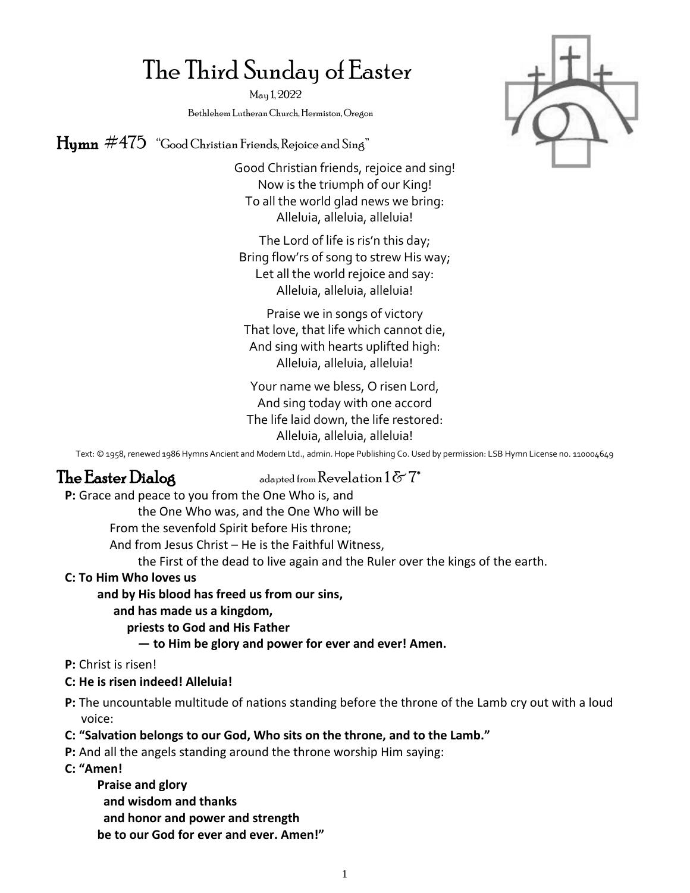# The Third Sunday of Easter

 May 1, 2022 BethlehemLutheran Church, Hermiston, Oregon

 $\rm H_{\bf Umn}$  #475 "Good Christian Friends, Rejoice and Sing"

Good Christian friends, rejoice and sing! Now is the triumph of our King! To all the world glad news we bring: Alleluia, alleluia, alleluia!

The Lord of life is ris'n this day; Bring flow'rs of song to strew His way; Let all the world rejoice and say: Alleluia, alleluia, alleluia!

Praise we in songs of victory That love, that life which cannot die, And sing with hearts uplifted high: Alleluia, alleluia, alleluia!

Your name we bless, O risen Lord, And sing today with one accord The life laid down, the life restored: Alleluia, alleluia, alleluia!

Text: © 1958, renewed 1986 Hymns Ancient and Modern Ltd., admin. Hope Publishing Co. Used by permission: LSB Hymn License no. 110004649

**The Easter Dialog Equation 2** adapted from Revelation  $1 \& 7^*$ 

**P:** Grace and peace to you from the One Who is, and

the One Who was, and the One Who will be

From the sevenfold Spirit before His throne;

And from Jesus Christ – He is the Faithful Witness,

the First of the dead to live again and the Ruler over the kings of the earth.

- **C: To Him Who loves us**
	- **and by His blood has freed us from our sins,**
		- **and has made us a kingdom,** 
			- **priests to God and His Father** 
				- **— to Him be glory and power for ever and ever! Amen.**
- **P:** Christ is risen!
- **C: He is risen indeed! Alleluia!**
- **P:** The uncountable multitude of nations standing before the throne of the Lamb cry out with a loud voice:
- **C: "Salvation belongs to our God, Who sits on the throne, and to the Lamb."**
- **P:** And all the angels standing around the throne worship Him saying:
- **C: "Amen!**

**Praise and glory and wisdom and thanks and honor and power and strength be to our God for ever and ever. Amen!"**

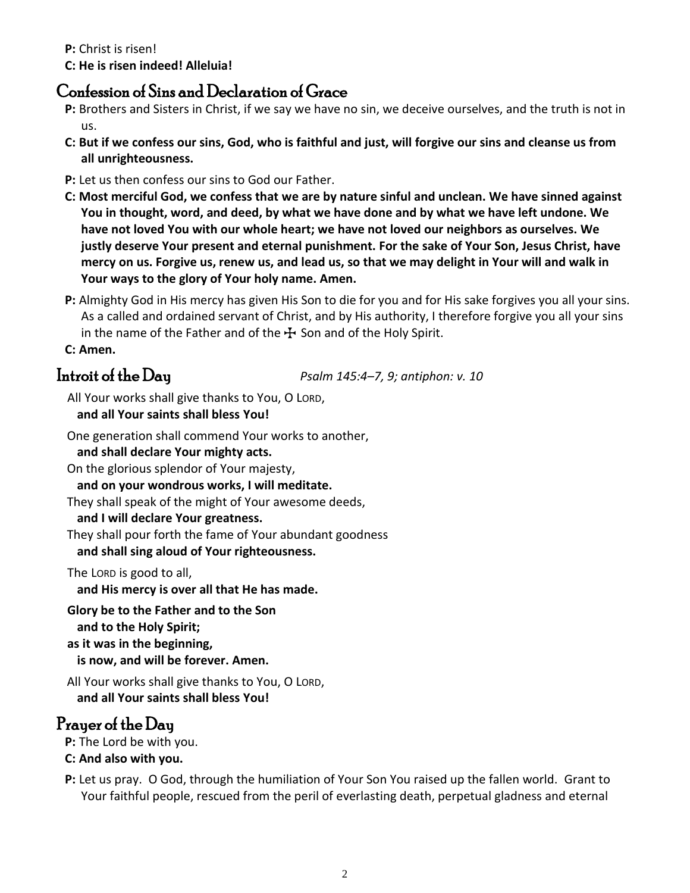**P:** Christ is risen!

**C: He is risen indeed! Alleluia!**

# Confession of Sins and Declaration of Grace

- **P:** Brothers and Sisters in Christ, if we say we have no sin, we deceive ourselves, and the truth is not in us.
- **C: But if we confess our sins, God, who is faithful and just, will forgive our sins and cleanse us from all unrighteousness.**
- **P:** Let us then confess our sins to God our Father.
- **C: Most merciful God, we confess that we are by nature sinful and unclean. We have sinned against You in thought, word, and deed, by what we have done and by what we have left undone. We have not loved You with our whole heart; we have not loved our neighbors as ourselves. We justly deserve Your present and eternal punishment. For the sake of Your Son, Jesus Christ, have mercy on us. Forgive us, renew us, and lead us, so that we may delight in Your will and walk in Your ways to the glory of Your holy name. Amen.**
- **P:** Almighty God in His mercy has given His Son to die for you and for His sake forgives you all your sins. As a called and ordained servant of Christ, and by His authority, I therefore forgive you all your sins in the name of the Father and of the  $\bigstar$  Son and of the Holy Spirit.

**C: Amen.**

Introit of the Day *Psalm 145:4–7, 9; antiphon: v. 10*

All Your works shall give thanks to You, O LORD, **and all Your saints shall bless You!**

One generation shall commend Your works to another,

**and shall declare Your mighty acts.**

On the glorious splendor of Your majesty,

**and on your wondrous works, I will meditate.**

They shall speak of the might of Your awesome deeds,

**and I will declare Your greatness.**

They shall pour forth the fame of Your abundant goodness

**and shall sing aloud of Your righteousness.**

The LORD is good to all,

**and His mercy is over all that He has made.**

**Glory be to the Father and to the Son and to the Holy Spirit; as it was in the beginning, is now, and will be forever. Amen.**

All Your works shall give thanks to You, O LORD, **and all Your saints shall bless You!**

# Prayer of the Day

- **P:** The Lord be with you.
- **C: And also with you.**
- **P:** Let us pray. O God, through the humiliation of Your Son You raised up the fallen world. Grant to Your faithful people, rescued from the peril of everlasting death, perpetual gladness and eternal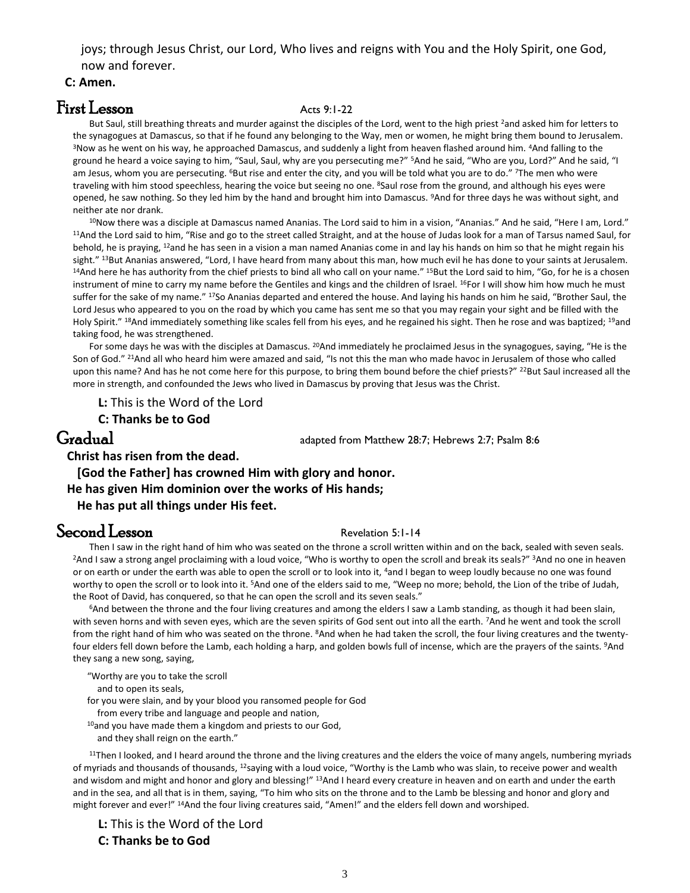joys; through Jesus Christ, our Lord, Who lives and reigns with You and the Holy Spirit, one God, now and forever.

**C: Amen.**

#### $First Lesson$  Acts 9:1-22

But Saul, still breathing threats and murder against the disciples of the Lord, went to the high priest <sup>2</sup>and asked him for letters to the synagogues at Damascus, so that if he found any belonging to the Way, men or women, he might bring them bound to Jerusalem. <sup>3</sup>Now as he went on his way, he approached Damascus, and suddenly a light from heaven flashed around him. <sup>4</sup>And falling to the ground he heard a voice saying to him, "Saul, Saul, why are you persecuting me?" <sup>5</sup>And he said, "Who are you, Lord?" And he said, "I am Jesus, whom you are persecuting. <sup>6</sup>But rise and enter the city, and you will be told what you are to do." 7The men who were traveling with him stood speechless, hearing the voice but seeing no one. <sup>8</sup>Saul rose from the ground, and although his eyes were opened, he saw nothing. So they led him by the hand and brought him into Damascus. <sup>9</sup>And for three days he was without sight, and neither ate nor drank.

<sup>10</sup>Now there was a disciple at Damascus named Ananias. The Lord said to him in a vision, "Ananias." And he said, "Here I am, Lord." <sup>11</sup>And the Lord said to him, "Rise and go to the street called Straight, and at the house of Judas look for a man of Tarsus named Saul, for behold, he is praying, <sup>12</sup>and he has seen in a vision a man named Ananias come in and lay his hands on him so that he might regain his sight." 13But Ananias answered, "Lord, I have heard from many about this man, how much evil he has done to your saints at Jerusalem. <sup>14</sup>And here he has authority from the chief priests to bind all who call on your name." <sup>15</sup>But the Lord said to him, "Go, for he is a chosen instrument of mine to carry my name before the Gentiles and kings and the children of Israel. <sup>16</sup>For I will show him how much he must suffer for the sake of my name." <sup>17</sup>So Ananias departed and entered the house. And laying his hands on him he said, "Brother Saul, the Lord Jesus who appeared to you on the road by which you came has sent me so that you may regain your sight and be filled with the Holy Spirit." 18And immediately something like scales fell from his eyes, and he regained his sight. Then he rose and was baptized; <sup>19</sup>and taking food, he was strengthened.

For some days he was with the disciples at Damascus. <sup>20</sup>And immediately he proclaimed Jesus in the synagogues, saying, "He is the Son of God." <sup>21</sup>And all who heard him were amazed and said, "Is not this the man who made havoc in Jerusalem of those who called upon this name? And has he not come here for this purpose, to bring them bound before the chief priests?" <sup>22</sup>But Saul increased all the more in strength, and confounded the Jews who lived in Damascus by proving that Jesus was the Christ.

**L:** This is the Word of the Lord

**C: Thanks be to God**

Gradual adapted from Matthew 28:7; Hebrews 2:7; Psalm 8:6

**Christ has risen from the dead.**

**[God the Father] has crowned Him with glory and honor. He has given Him dominion over the works of His hands; He has put all things under His feet.**

# Second Lesson Revelation 5:1-14

Then I saw in the right hand of him who was seated on the throne a scroll written within and on the back, sealed with seven seals. <sup>2</sup>And I saw a strong angel proclaiming with a loud voice, "Who is worthy to open the scroll and break its seals?" <sup>3</sup>And no one in heaven or on earth or under the earth was able to open the scroll or to look into it, <sup>4</sup>and I began to weep loudly because no one was found worthy to open the scroll or to look into it. <sup>5</sup>And one of the elders said to me, "Weep no more; behold, the Lion of the tribe of Judah, the Root of David, has conquered, so that he can open the scroll and its seven seals."

<sup>6</sup>And between the throne and the four living creatures and among the elders I saw a Lamb standing, as though it had been slain, with seven horns and with seven eyes, which are the seven spirits of God sent out into all the earth. <sup>7</sup>And he went and took the scroll from the right hand of him who was seated on the throne. <sup>8</sup>And when he had taken the scroll, the four living creatures and the twentyfour elders fell down before the Lamb, each holding a harp, and golden bowls full of incense, which are the prayers of the saints. <sup>9</sup>And they sang a new song, saying,

"Worthy are you to take the scroll

and to open its seals,

for you were slain, and by your blood you ransomed people for God

from every tribe and language and people and nation,

<sup>10</sup>and you have made them a kingdom and priests to our God, and they shall reign on the earth."

<sup>11</sup>Then I looked, and I heard around the throne and the living creatures and the elders the voice of many angels, numbering myriads of myriads and thousands of thousands, <sup>12</sup>saying with a loud voice, "Worthy is the Lamb who was slain, to receive power and wealth and wisdom and might and honor and glory and blessing!" <sup>13</sup>And I heard every creature in heaven and on earth and under the earth and in the sea, and all that is in them, saying, "To him who sits on the throne and to the Lamb be blessing and honor and glory and might forever and ever!" <sup>14</sup>And the four living creatures said, "Amen!" and the elders fell down and worshiped.

**L:** This is the Word of the Lord **C: Thanks be to God**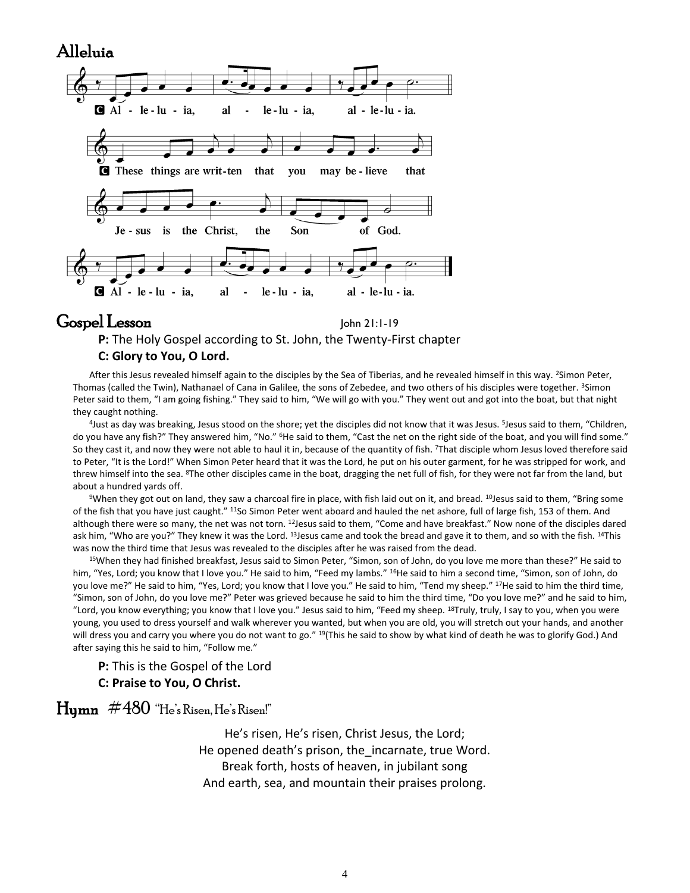#### Alleluia



### Gospel Lesson John 21:1-19

#### **P:** The Holy Gospel according to St. John, the Twenty-First chapter **C: Glory to You, O Lord.**

After this Jesus revealed himself again to the disciples by the Sea of Tiberias, and he revealed himself in this way. <sup>2</sup>Simon Peter, Thomas (called the Twin), Nathanael of Cana in Galilee, the sons of Zebedee, and two others of his disciples were together. <sup>3</sup>Simon Peter said to them, "I am going fishing." They said to him, "We will go with you." They went out and got into the boat, but that night they caught nothing.

<sup>4</sup>Just as day was breaking, Jesus stood on the shore; yet the disciples did not know that it was Jesus. <sup>5</sup>Jesus said to them, "Children, do you have any fish?" They answered him, "No." <sup>5</sup>He said to them, "Cast the net on the right side of the boat, and you will find some." So they cast it, and now they were not able to haul it in, because of the quantity of fish. That disciple whom Jesus loved therefore said to Peter, "It is the Lord!" When Simon Peter heard that it was the Lord, he put on his outer garment, for he was stripped for work, and threw himself into the sea. <sup>8</sup>The other disciples came in the boat, dragging the net full of fish, for they were not far from the land, but about a hundred yards off.

<sup>9</sup>When they got out on land, they saw a charcoal fire in place, with fish laid out on it, and bread. <sup>10</sup>Jesus said to them, "Bring some of the fish that you have just caught." 11So Simon Peter went aboard and hauled the net ashore, full of large fish, 153 of them. And although there were so many, the net was not torn. <sup>12</sup> Jesus said to them, "Come and have breakfast." Now none of the disciples dared ask him, "Who are you?" They knew it was the Lord. 13 Jesus came and took the bread and gave it to them, and so with the fish. 14This was now the third time that Jesus was revealed to the disciples after he was raised from the dead.

<sup>15</sup>When they had finished breakfast, Jesus said to Simon Peter, "Simon, son of John, do you love me more than these?" He said to him, "Yes, Lord; you know that I love you." He said to him, "Feed my lambs." <sup>16</sup>He said to him a second time, "Simon, son of John, do you love me?" He said to him, "Yes, Lord; you know that I love you." He said to him, "Tend my sheep." <sup>17</sup>He said to him the third time, "Simon, son of John, do you love me?" Peter was grieved because he said to him the third time, "Do you love me?" and he said to him, "Lord, you know everything; you know that I love you." Jesus said to him, "Feed my sheep. <sup>18</sup>Truly, truly, I say to you, when you were young, you used to dress yourself and walk wherever you wanted, but when you are old, you will stretch out your hands, and another will dress you and carry you where you do not want to go." <sup>19</sup>(This he said to show by what kind of death he was to glorify God.) And after saying this he said to him, "Follow me."

#### **P:** This is the Gospel of the Lord

#### **C: Praise to You, O Christ.**

 $\bf{H}$ ymn  $#480$  "He's Risen, He's Risen!"

He's risen, He's risen, Christ Jesus, the Lord; He opened death's prison, the incarnate, true Word. Break forth, hosts of heaven, in jubilant song And earth, sea, and mountain their praises prolong.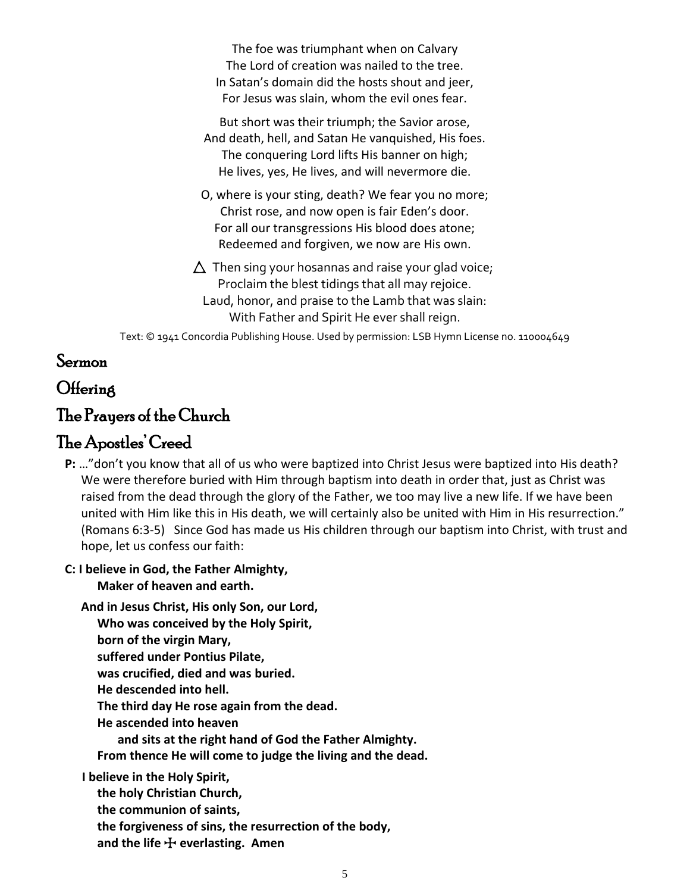The foe was triumphant when on Calvary The Lord of creation was nailed to the tree. In Satan's domain did the hosts shout and jeer, For Jesus was slain, whom the evil ones fear.

But short was their triumph; the Savior arose, And death, hell, and Satan He vanquished, His foes. The conquering Lord lifts His banner on high; He lives, yes, He lives, and will nevermore die.

- O, where is your sting, death? We fear you no more; Christ rose, and now open is fair Eden's door. For all our transgressions His blood does atone; Redeemed and forgiven, we now are His own.
- $\Delta$  Then sing your hosannas and raise your glad voice; Proclaim the blest tidings that all may rejoice. Laud, honor, and praise to the Lamb that was slain: With Father and Spirit He ever shall reign.

Text: © 1941 Concordia Publishing House. Used by permission: LSB Hymn License no. 110004649

### Sermon

### **Offering**

# The Prayers of the Church

## The Apostles' Creed

**P:** …"don't you know that all of us who were baptized into Christ Jesus were baptized into His death? We were therefore buried with Him through baptism into death in order that, just as Christ was raised from the dead through the glory of the Father, we too may live a new life. If we have been united with Him like this in His death, we will certainly also be united with Him in His resurrection." (Romans 6:3-5) Since God has made us His children through our baptism into Christ, with trust and hope, let us confess our faith:

#### **C: I believe in God, the Father Almighty, Maker of heaven and earth.**

**And in Jesus Christ, His only Son, our Lord,**

- **Who was conceived by the Holy Spirit,**
- **born of the virgin Mary,**
- **suffered under Pontius Pilate,**
- **was crucified, died and was buried.**
- **He descended into hell.**
- **The third day He rose again from the dead.**
- **He ascended into heaven**
	- **and sits at the right hand of God the Father Almighty.**
- **From thence He will come to judge the living and the dead.**

**I believe in the Holy Spirit,**

- **the holy Christian Church,**
- **the communion of saints,**
- **the forgiveness of sins, the resurrection of the body,**
- **and the life** T **everlasting. Amen**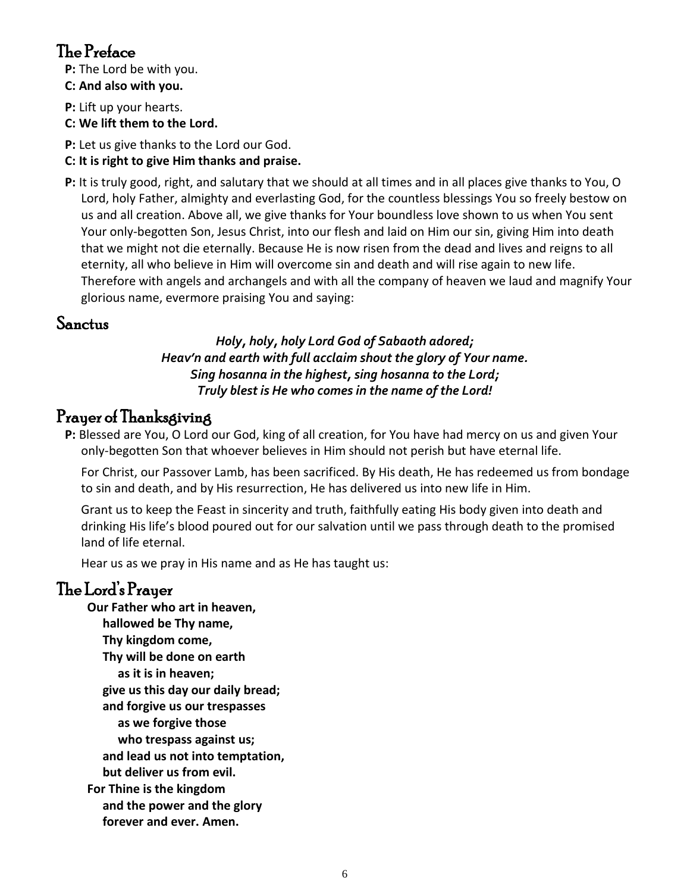# The Preface

- **P:** The Lord be with you.
- **C: And also with you.**
- **P:** Lift up your hearts.
- **C: We lift them to the Lord.**
- **P:** Let us give thanks to the Lord our God.
- **C: It is right to give Him thanks and praise.**
- **P:** It is truly good, right, and salutary that we should at all times and in all places give thanks to You, O Lord, holy Father, almighty and everlasting God, for the countless blessings You so freely bestow on us and all creation. Above all, we give thanks for Your boundless love shown to us when You sent Your only-begotten Son, Jesus Christ, into our flesh and laid on Him our sin, giving Him into death that we might not die eternally. Because He is now risen from the dead and lives and reigns to all eternity, all who believe in Him will overcome sin and death and will rise again to new life. Therefore with angels and archangels and with all the company of heaven we laud and magnify Your glorious name, evermore praising You and saying:

# Sanctus

#### *Holy, holy, holy Lord God of Sabaoth adored; Heav'n and earth with full acclaim shout the glory of Your name. Sing hosanna in the highest, sing hosanna to the Lord; Truly blest is He who comes in the name of the Lord!*

# Prayer of Thanksgiving

**P:** Blessed are You, O Lord our God, king of all creation, for You have had mercy on us and given Your only-begotten Son that whoever believes in Him should not perish but have eternal life.

For Christ, our Passover Lamb, has been sacrificed. By His death, He has redeemed us from bondage to sin and death, and by His resurrection, He has delivered us into new life in Him.

Grant us to keep the Feast in sincerity and truth, faithfully eating His body given into death and drinking His life's blood poured out for our salvation until we pass through death to the promised land of life eternal.

Hear us as we pray in His name and as He has taught us:

# The Lord's Prayer

**Our Father who art in heaven, hallowed be Thy name, Thy kingdom come, Thy will be done on earth as it is in heaven; give us this day our daily bread; and forgive us our trespasses as we forgive those who trespass against us; and lead us not into temptation, but deliver us from evil. For Thine is the kingdom and the power and the glory forever and ever. Amen.**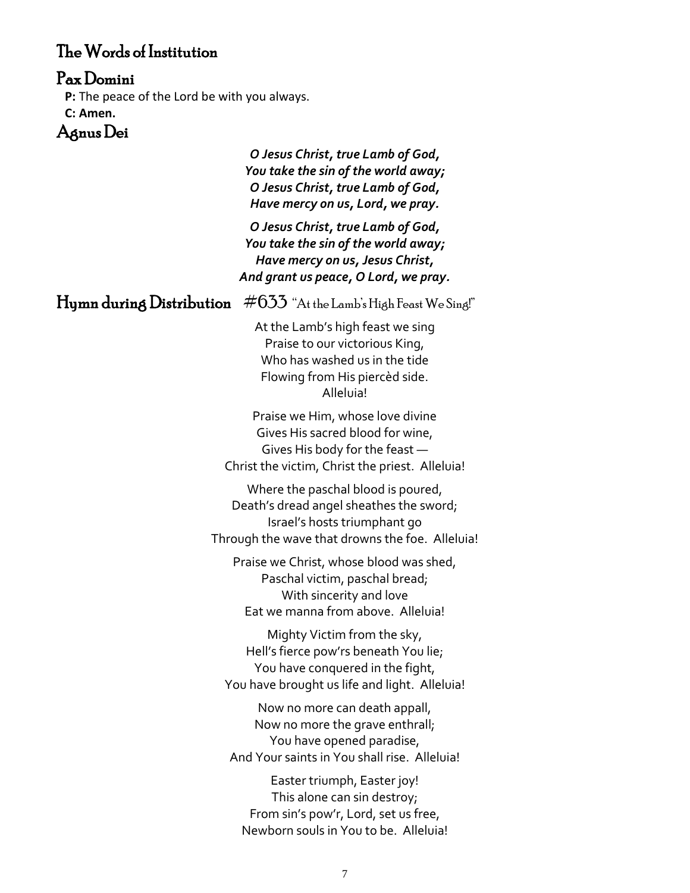### The Words of Institution

#### Pax Domini

**P:** The peace of the Lord be with you always. **C: Amen.**

#### Agnus Dei

| O Jesus Christ, true Lamb of God,   |
|-------------------------------------|
| You take the sin of the world away; |
| O Jesus Christ, true Lamb of God,   |
| Have mercy on us, Lord, we pray.    |

*O Jesus Christ, true Lamb of God, You take the sin of the world away; Have mercy on us, Jesus Christ, And grant us peace, O Lord, we pray.*

Hymn during Distribution #633 "At the Lamb's High Feast We Sing!"

At the Lamb's high feast we sing Praise to our victorious King, Who has washed us in the tide Flowing from His piercèd side. Alleluia!

Praise we Him, whose love divine Gives His sacred blood for wine, Gives His body for the feast — Christ the victim, Christ the priest. Alleluia!

Where the paschal blood is poured, Death's dread angel sheathes the sword; Israel's hosts triumphant go Through the wave that drowns the foe. Alleluia!

Praise we Christ, whose blood was shed, Paschal victim, paschal bread; With sincerity and love Eat we manna from above. Alleluia!

Mighty Victim from the sky, Hell's fierce pow'rs beneath You lie; You have conquered in the fight, You have brought us life and light. Alleluia!

Now no more can death appall, Now no more the grave enthrall; You have opened paradise, And Your saints in You shall rise. Alleluia!

Easter triumph, Easter joy! This alone can sin destroy; From sin's pow'r, Lord, set us free, Newborn souls in You to be. Alleluia!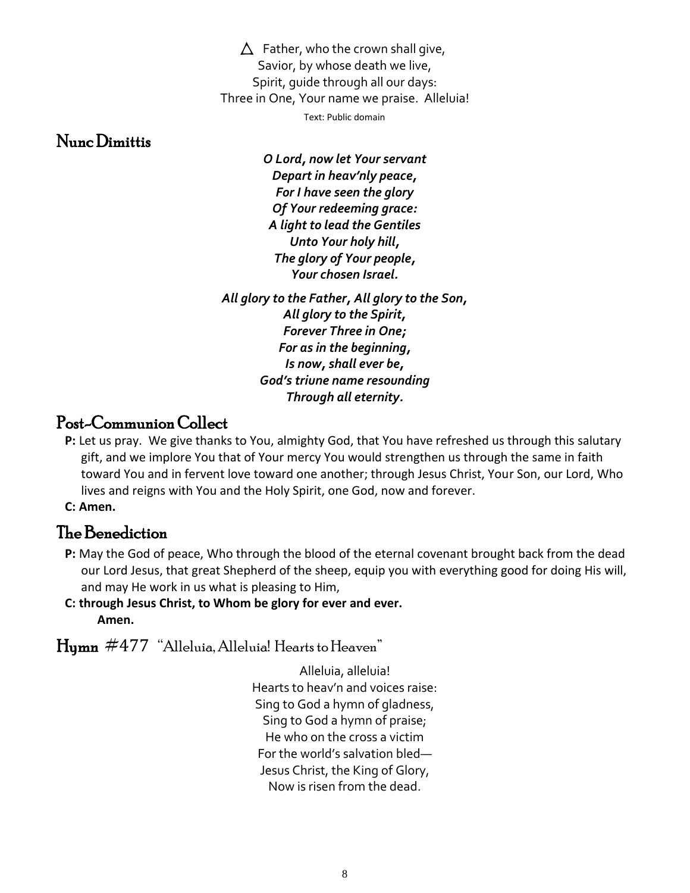$\triangle$  Father, who the crown shall give, Savior, by whose death we live, Spirit, guide through all our days: Three in One, Your name we praise. Alleluia! Text: Public domain

### Nunc Dimittis

*O Lord, now let Your servant Depart in heav'nly peace, For I have seen the glory Of Your redeeming grace: A light to lead the Gentiles Unto Your holy hill, The glory of Your people, Your chosen Israel.*

*All glory to the Father, All glory to the Son, All glory to the Spirit, Forever Three in One; For as in the beginning, Is now, shall ever be, God's triune name resounding Through all eternity.*

# Post-Communion Collect

**P:** Let us pray. We give thanks to You, almighty God, that You have refreshed us through this salutary gift, and we implore You that of Your mercy You would strengthen us through the same in faith toward You and in fervent love toward one another; through Jesus Christ, Your Son, our Lord, Who lives and reigns with You and the Holy Spirit, one God, now and forever.

#### **C: Amen.**

### The Benediction

- **P:** May the God of peace, Who through the blood of the eternal covenant brought back from the dead our Lord Jesus, that great Shepherd of the sheep, equip you with everything good for doing His will, and may He work in us what is pleasing to Him,
- **C: through Jesus Christ, to Whom be glory for ever and ever. Amen.**

Hymn #477"Alleluia, Alleluia! Hearts to Heaven"

Alleluia, alleluia! Hearts to heav'n and voices raise: Sing to God a hymn of gladness, Sing to God a hymn of praise; He who on the cross a victim For the world's salvation bled— Jesus Christ, the King of Glory, Now is risen from the dead.